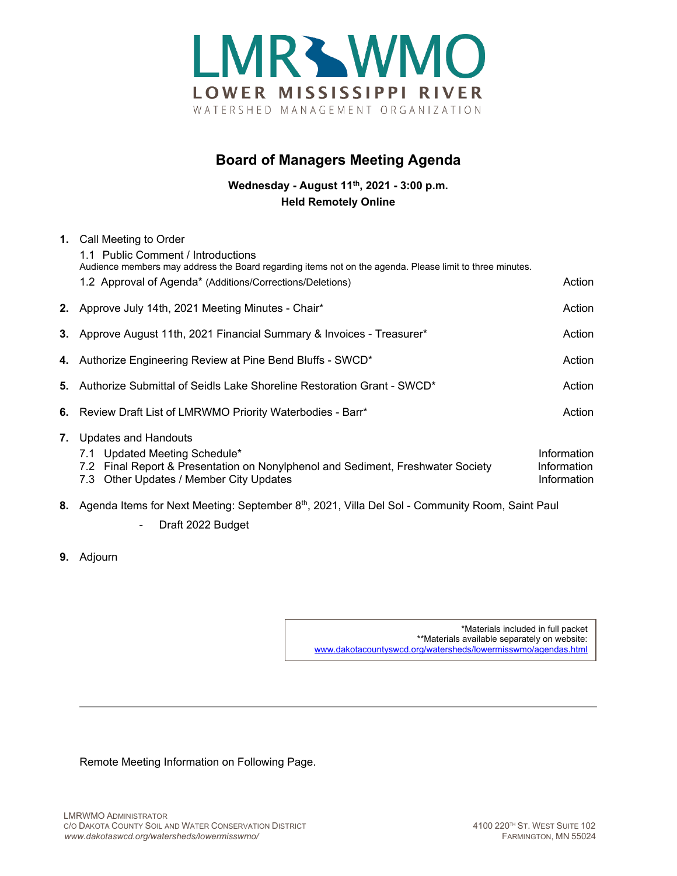

## **Board of Managers Meeting Agenda**

**Wednesday - August 11th, 2021 - 3:00 p.m. Held Remotely Online**

|    | 1. Call Meeting to Order                                                                                                   |                            |  |
|----|----------------------------------------------------------------------------------------------------------------------------|----------------------------|--|
|    | 1.1 Public Comment / Introductions                                                                                         |                            |  |
|    | Audience members may address the Board regarding items not on the agenda. Please limit to three minutes.                   |                            |  |
|    | 1.2 Approval of Agenda* (Additions/Corrections/Deletions)                                                                  | Action                     |  |
|    | 2. Approve July 14th, 2021 Meeting Minutes - Chair*                                                                        | Action                     |  |
|    | 3. Approve August 11th, 2021 Financial Summary & Invoices - Treasurer*                                                     | Action                     |  |
|    | 4. Authorize Engineering Review at Pine Bend Bluffs - SWCD*                                                                | Action                     |  |
|    | 5. Authorize Submittal of Seidls Lake Shoreline Restoration Grant - SWCD*                                                  | Action                     |  |
|    | 6. Review Draft List of LMRWMO Priority Waterbodies - Barr*                                                                | Action                     |  |
| 7. | Updates and Handouts                                                                                                       |                            |  |
|    | 7.1 Updated Meeting Schedule*                                                                                              | Information                |  |
|    | 7.2 Final Report & Presentation on Nonylphenol and Sediment, Freshwater Society<br>7.3 Other Updates / Member City Updates | Information<br>Information |  |
|    | 8. Agenda Items for Next Meeting: September 8 <sup>th</sup> , 2021, Villa Del Sol - Community Room, Saint Paul             |                            |  |
|    | Draft 2022 Budget<br>$\qquad \qquad \blacksquare$                                                                          |                            |  |

**9.** Adjourn

\*Materials included in full packet \*\*Materials available separately on website: [www.dakotacountyswcd.org/watersheds/lowermisswmo/agendas.html](http://www.dakotacountyswcd.org/watersheds/lowermisswmo/agendas.html)

Remote Meeting Information on Following Page.